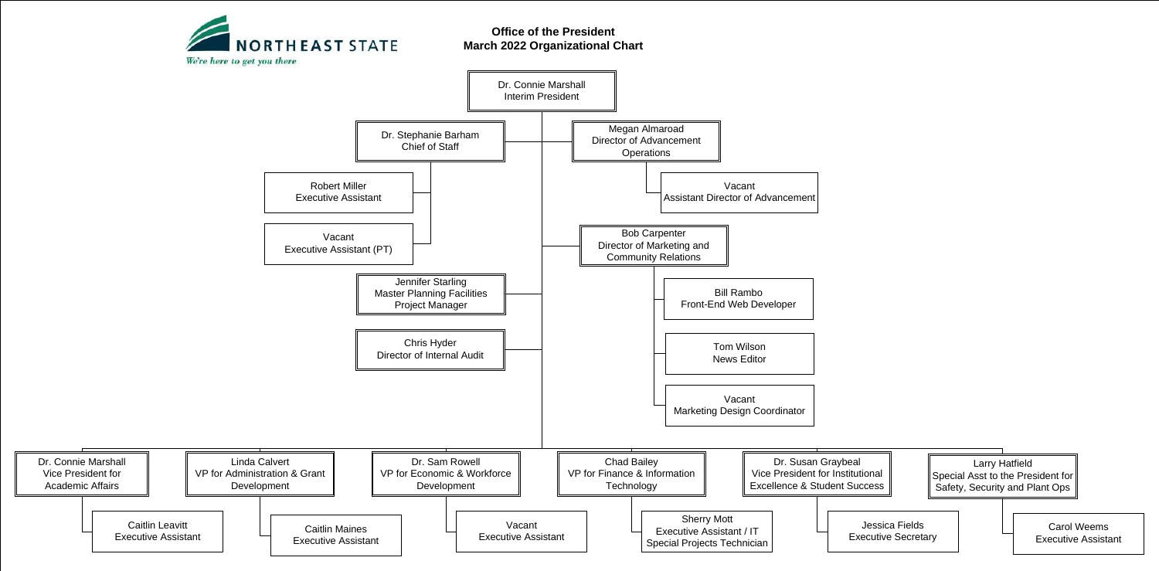



| ant |                |
|-----|----------------|
|     | of Advancement |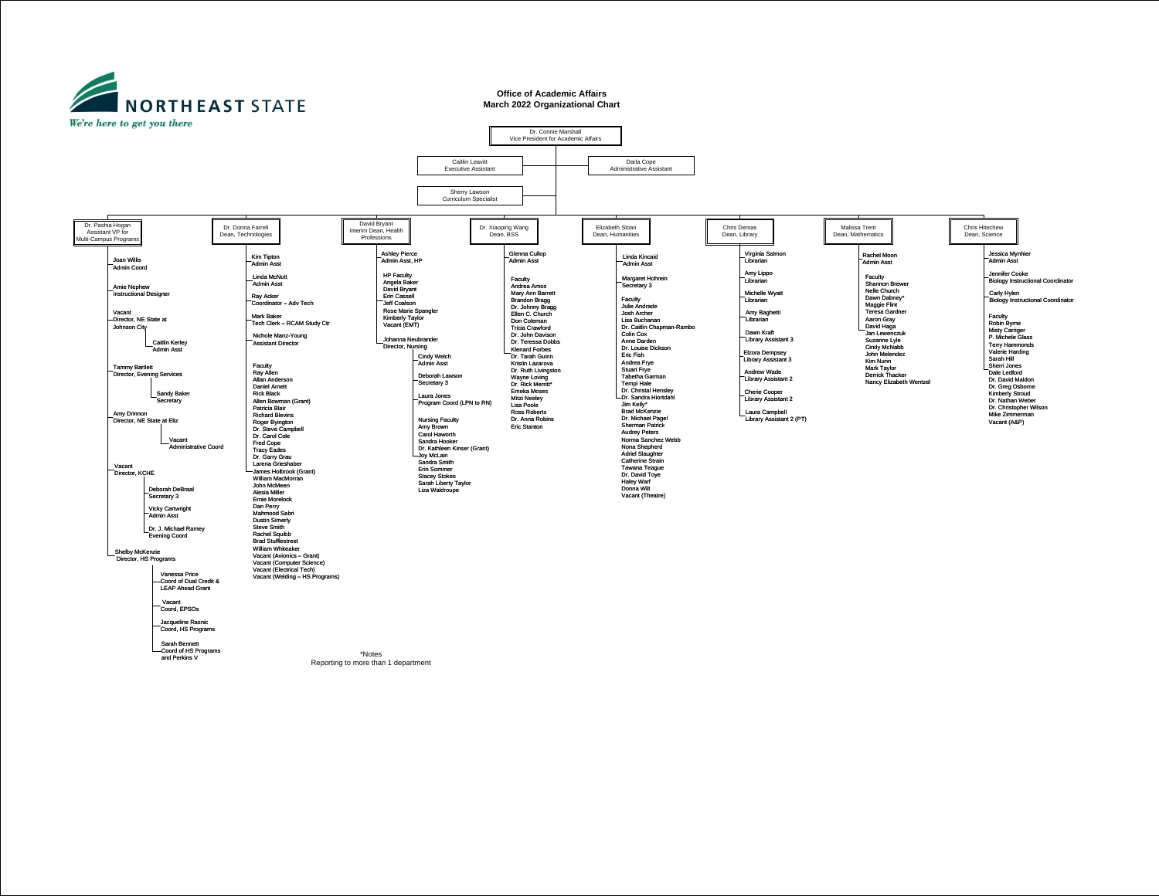

### **Office of Academic Affairs March 2022 Organizational Chart**



\*Notes Reporting to more than 1 department

Sarah Bennett Coord of HS Programs and Perkins V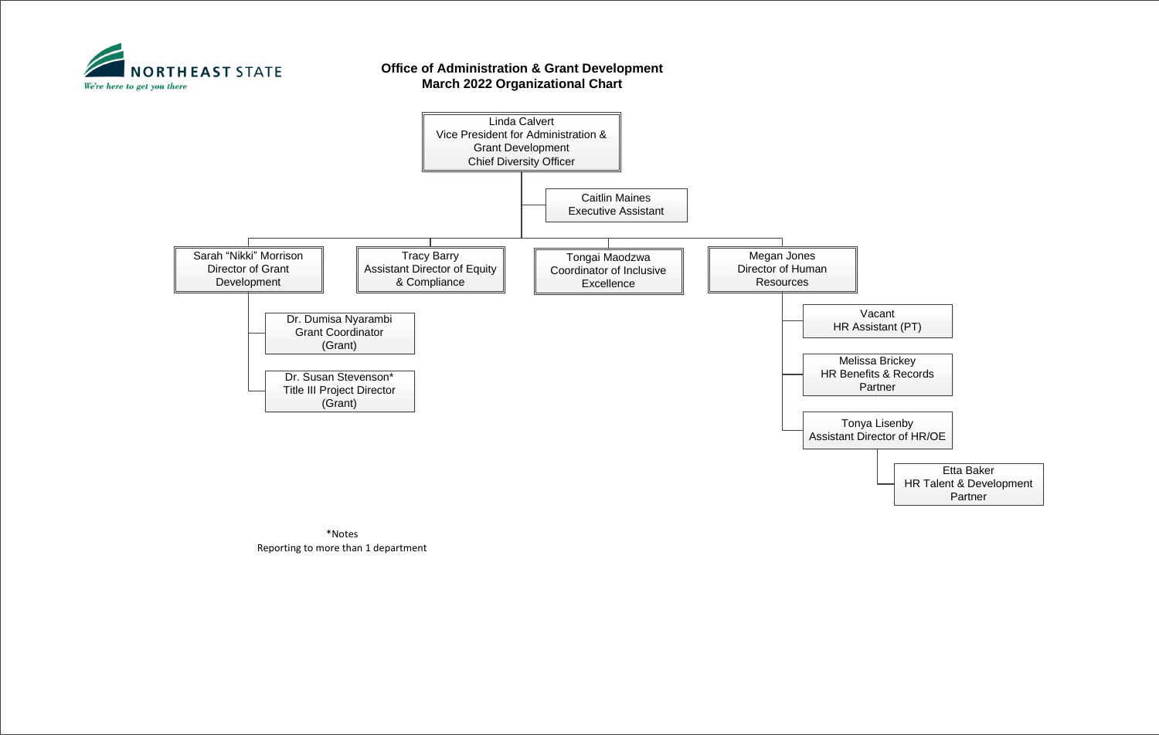

## **Office of Administration & Grant Development March 2022 Organizational Chart**

Melissa Brickey HR Benefits & Records Partner

Vacant HR Assistant (PT)

Tonya Lisenby Assistant Director of HR/OE



Etta Baker HR Talent & Development Partner

\*Notes Reporting to more than 1 department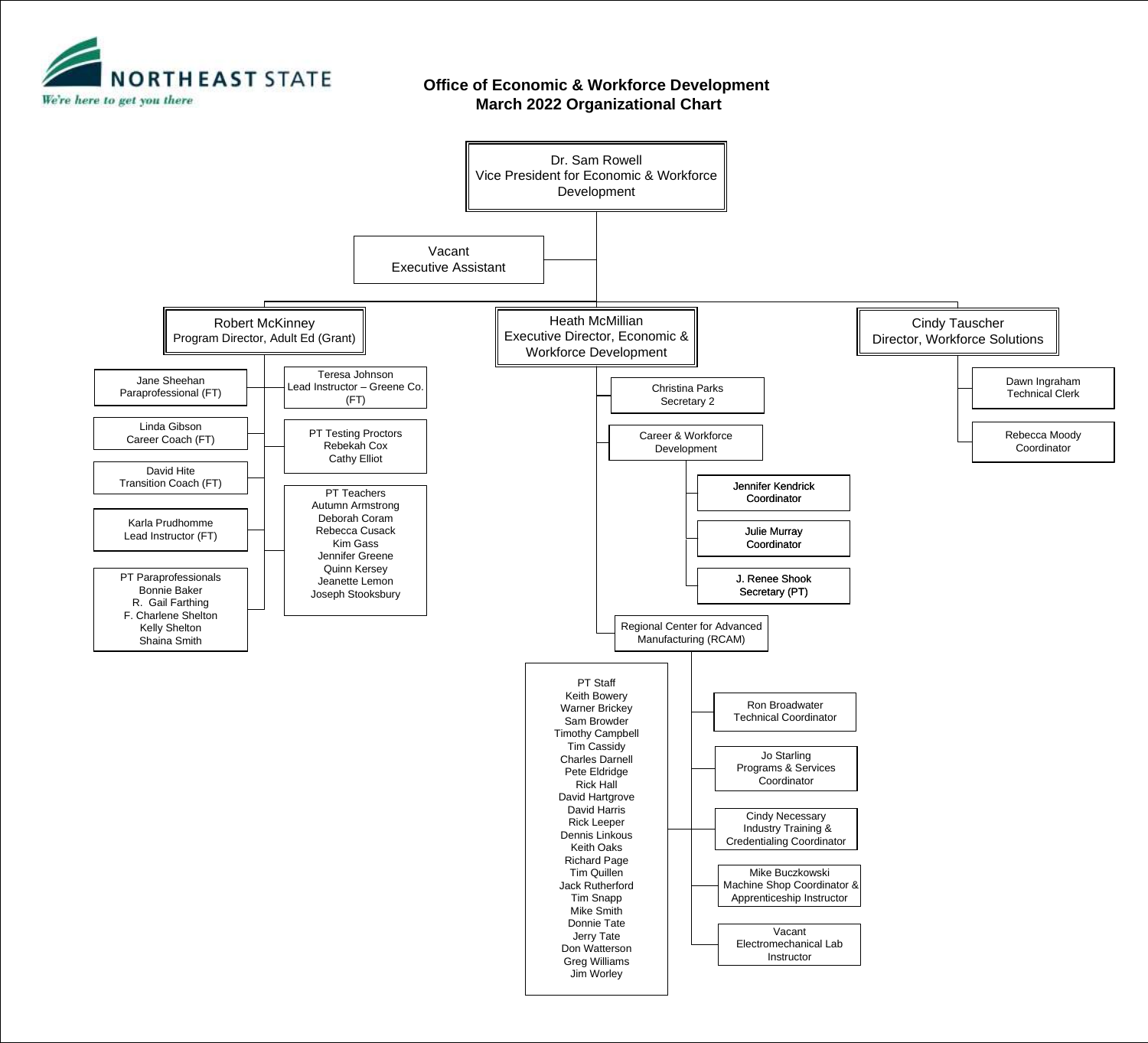

#### **Office of Economic & Workforce Development March 2022 Organizational Chart**

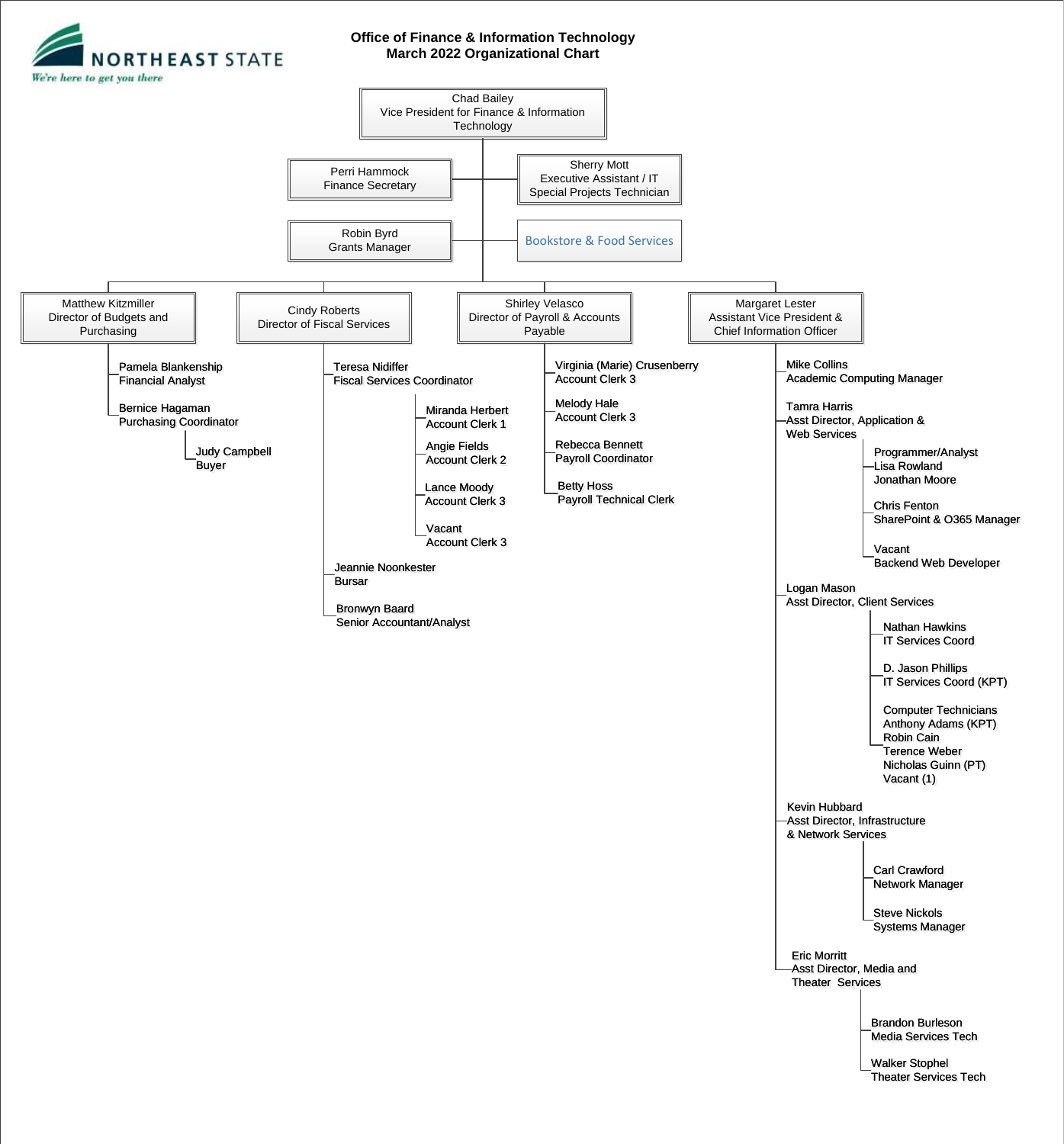

#### **Office of Finance & Information Technology March 2022 Organizational Chart**

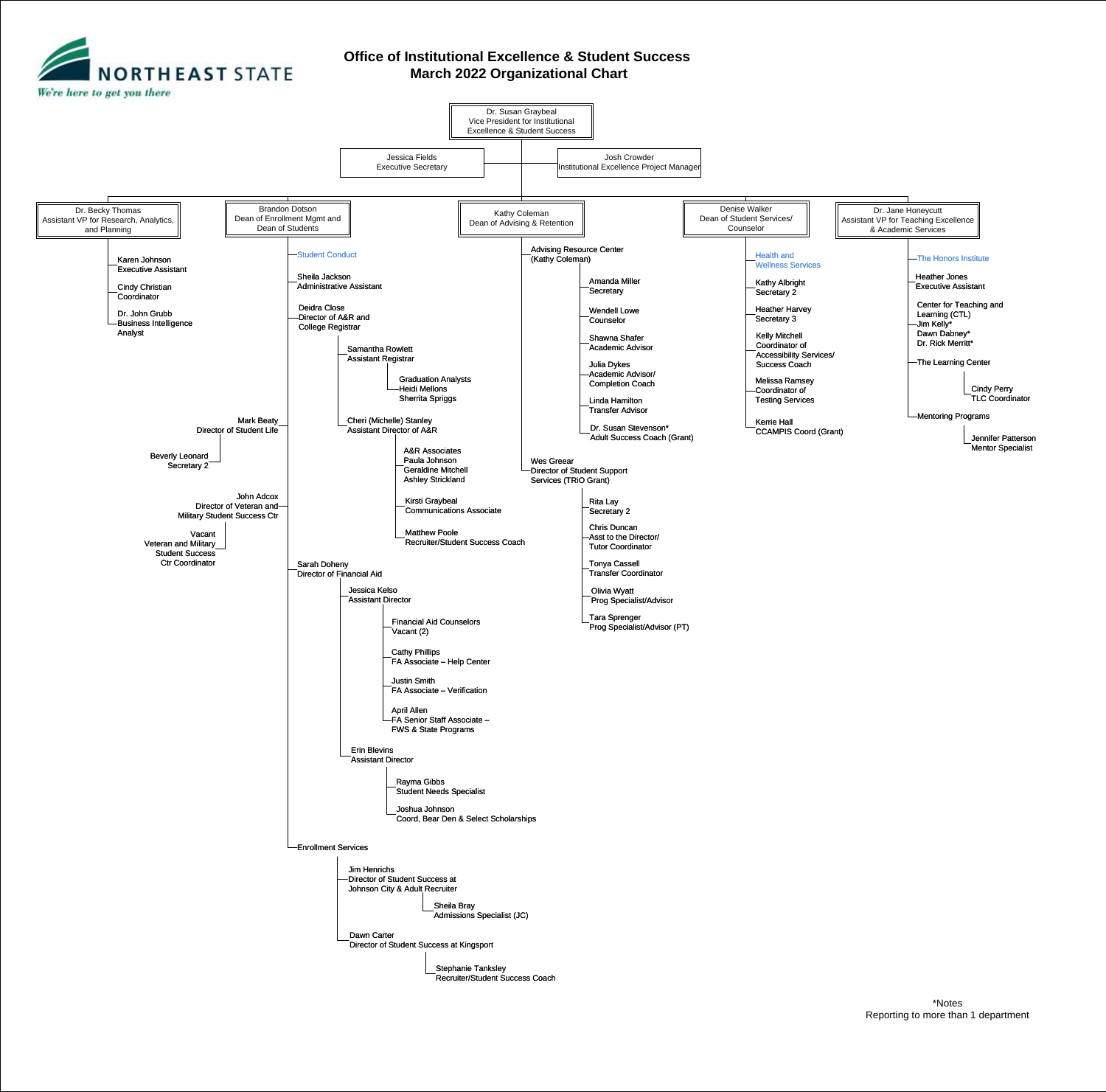

## **Office of Institutional Excellence & Student Success March 2022 Organizational Chart**